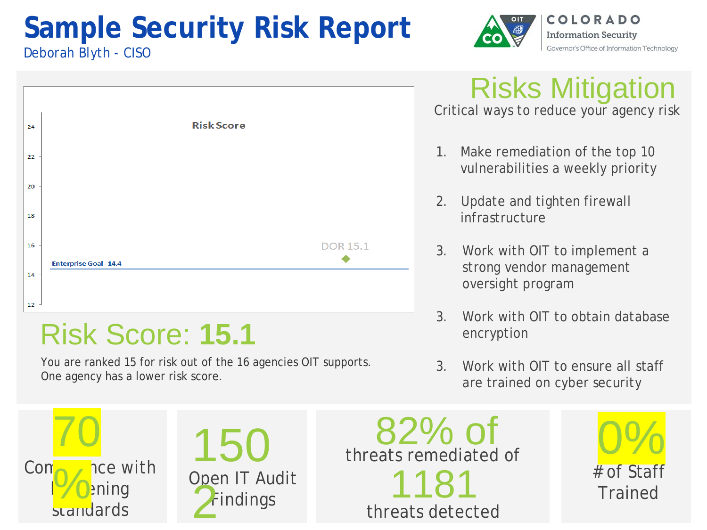## **Sample Security Risk Report**



COLORADO **Information Security** Governor's Office of Information Technology

### Deborah Blyth - CISO



## Risk Score: **15.1**

You are ranked 15 for risk out of the 16 agencies OIT supports. One agency has a lower risk score.

Risks Mitigation Critical ways to reduce your agency risk

- 1. Make remediation of the top 10 vulnerabilities a weekly priority
- 2. Update and tighten firewall infrastructure
- 3. Work with OIT to implement a strong vendor management oversight program
- 3. Work with OIT to obtain database encryption
- 3. Work with OIT to ensure all staff are trained on cyber security





Open IT Audit<br>
2 Findings<br>
threats detect threats detected threats remediated of 82% of

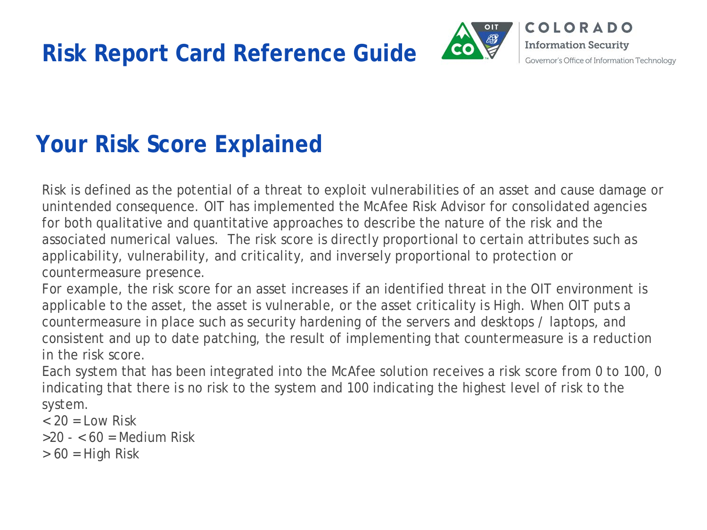**Risk Report Card Reference Guide**



## **Your Risk Score Explained**

Risk is defined as the potential of a threat to exploit vulnerabilities of an asset and cause damage or unintended consequence. OIT has implemented the McAfee Risk Advisor for consolidated agencies for both qualitative and quantitative approaches to describe the nature of the risk and the associated numerical values. The risk score is directly proportional to certain attributes such as applicability, vulnerability, and criticality, and inversely proportional to protection or countermeasure presence.

For example, the risk score for an asset increases if an identified threat in the OIT environment is applicable to the asset, the asset is vulnerable, or the asset criticality is High. When OIT puts a countermeasure in place such as security hardening of the servers and desktops / laptops, and consistent and up to date patching, the result of implementing that countermeasure is a reduction in the risk score.

Each system that has been integrated into the McAfee solution receives a risk score from 0 to 100, 0 indicating that there is no risk to the system and 100 indicating the highest level of risk to the system.

 $<$  20 = Low Risk

 $>20 - 60$  = Medium Risk

 $> 60$  = High Risk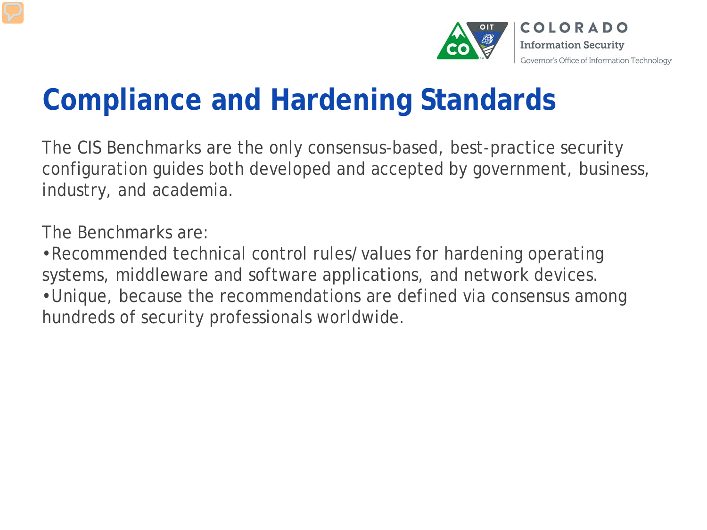

## **Compliance and Hardening Standards**

The CIS Benchmarks are the only consensus-based, best-practice security configuration guides both developed and accepted by government, business, industry, and academia.

The Benchmarks are:

•Recommended technical control rules/values for hardening operating systems, middleware and software applications, and network devices. •Unique, because the recommendations are defined via consensus among hundreds of security professionals worldwide.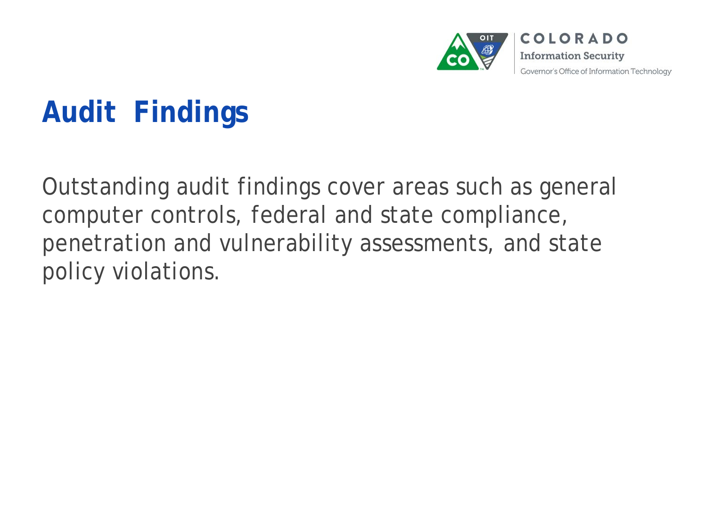

## **Audit Findings**

Outstanding audit findings cover areas such as general computer controls, federal and state compliance, penetration and vulnerability assessments, and state policy violations.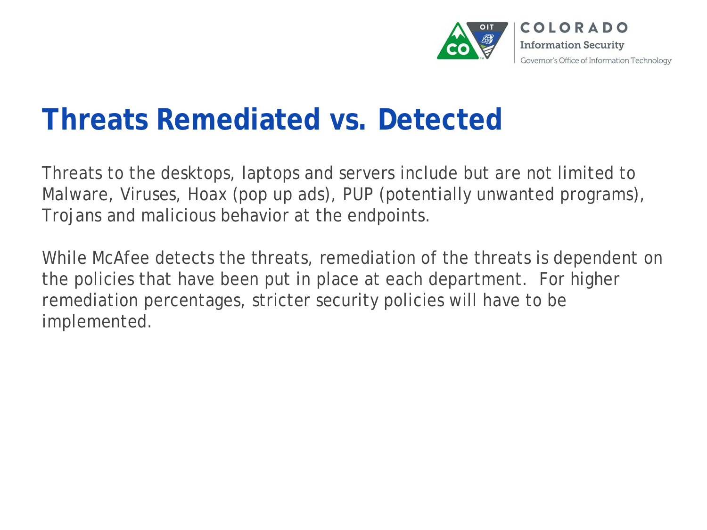

## **Threats Remediated vs. Detected**

Threats to the desktops, laptops and servers include but are not limited to Malware, Viruses, Hoax (pop up ads), PUP (potentially unwanted programs), Trojans and malicious behavior at the endpoints.

While McAfee detects the threats, remediation of the threats is dependent on the policies that have been put in place at each department. For higher remediation percentages, stricter security policies will have to be implemented.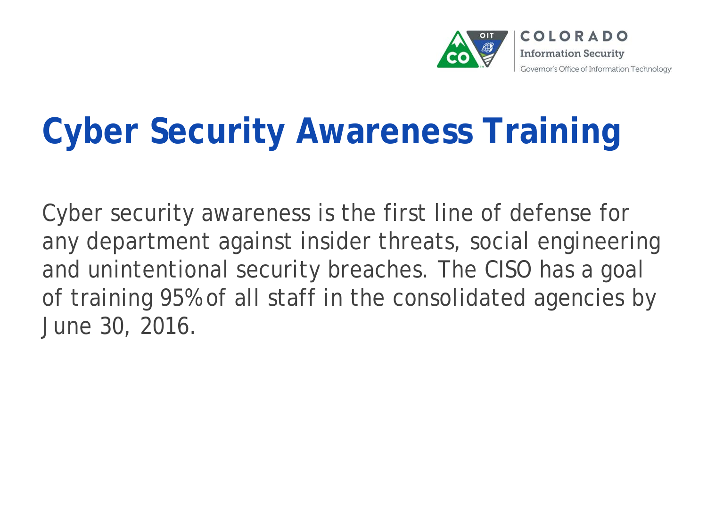

# **Cyber Security Awareness Training**

Cyber security awareness is the first line of defense for any department against insider threats, social engineering and unintentional security breaches. The CISO has a goal of training 95% of all staff in the consolidated agencies by June 30, 2016.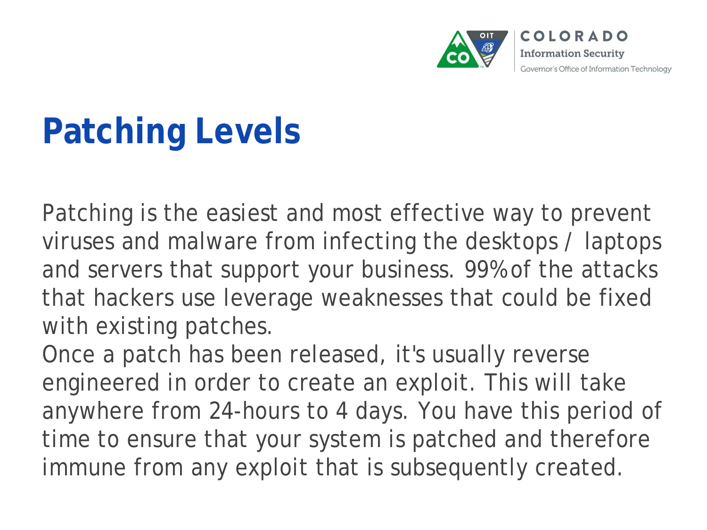

## **Patching Levels**

Patching is the easiest and most effective way to prevent viruses and malware from infecting the desktops / laptops and servers that support your business. 99% of the attacks that hackers use leverage weaknesses that could be fixed with existing patches.

Once a patch has been released, it's usually reverse engineered in order to create an exploit. This will take anywhere from 24-hours to 4 days. You have this period of time to ensure that your system is patched and therefore immune from any exploit that is subsequently created.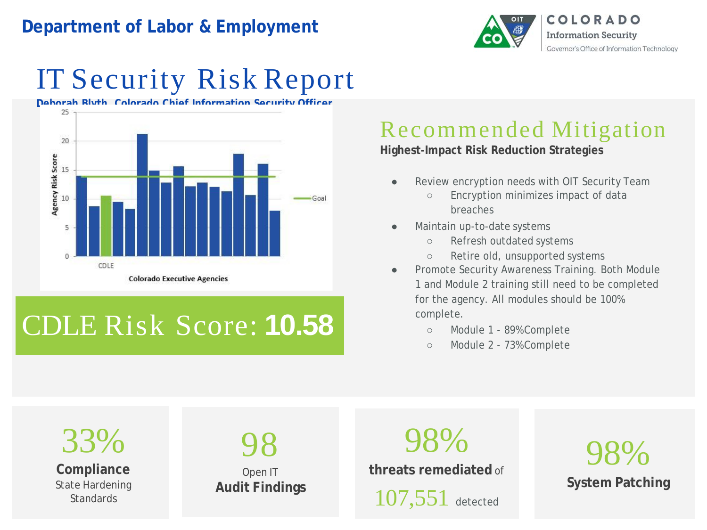### **Department of Labor & Employment**



## IT Security Risk Report



## CDLE Risk Score: **10.58**

### Recommended Mitigation

**Highest-Impact Risk Reduction Strategies**

- Review encryption needs with OIT Security Team
	- Encryption minimizes impact of data breaches
- Maintain up-to-date systems
	- Refresh outdated systems
	- Retire old, unsupported systems
- Promote Security Awareness Training. Both Module 1 and Module 2 training still need to be completed for the agency. All modules should be 100% complete.
	- Module 1 89% Complete
	- Module 2 73% Complete

33% **Compliance** State Hardening **Standards** 98 Open IT **Audit Findings** 98% **System Patching** 98% **threats remediated** of 107,551 detected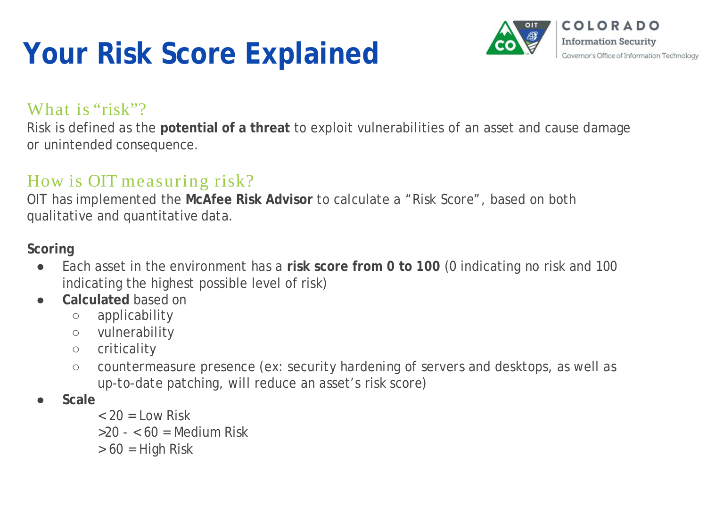## **Your Risk Score Explained**



### What is "risk"?

Risk is defined as the **potential of a threat** to exploit vulnerabilities of an asset and cause damage or unintended consequence.

### How is OIT measuring risk?

OIT has implemented the **McAfee Risk Advisor** to calculate a "Risk Score", based on both qualitative and quantitative data.

### **Scoring**

- Each asset in the environment has a **risk score from 0 to 100** (0 indicating no risk and 100 indicating the highest possible level of risk)
- **Calculated** based on
	- applicability
	- vulnerability
	- criticality
	- countermeasure presence (ex: security hardening of servers and desktops, as well as up-to-date patching, will reduce an asset's risk score)
- **Scale**
	- $<$  20 = Low Risk
	- $>20 60$  = Medium Risk
	- $> 60$  = High Risk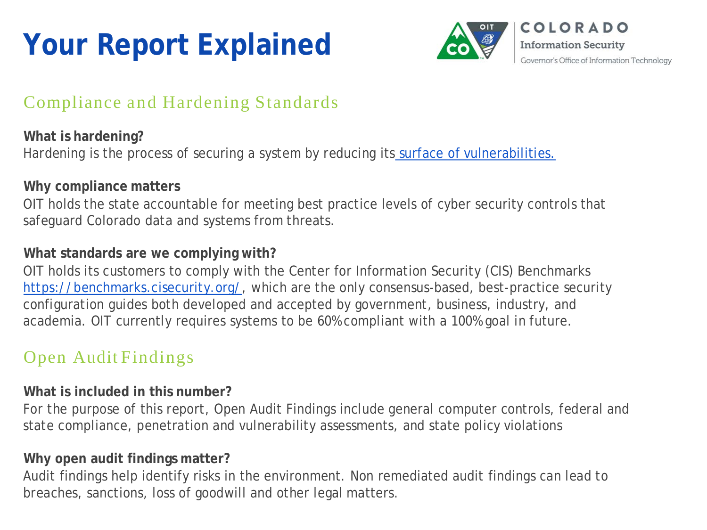## **Your Report Explained**



### Compliance and Hardening Standards

**What is hardening?** Hardening is the process of securing a system by reducing its surface of [vulnerabilities.](https://en.wikipedia.org/wiki/Attack_surface)

### **Why compliance matters**

OIT holds the state accountable for meeting best practice levels of cyber security controls that safeguard Colorado data and systems from threats.

### **What standards are we complying with?**

OIT holds its customers to comply with the Center for Information Security (CIS) Benchmarks [https://benchmarks.cisecurity.org/,](https://benchmarks.cisecurity.org/) which are the only consensus-based, best-practice security configuration guides both developed and accepted by government, business, industry, and academia. OIT currently requires systems to be 60% compliant with a 100% goal in future.

### Open Audit Findings

#### **What is included in this number?**

For the purpose of this report, Open Audit Findings include general computer controls, federal and state compliance, penetration and vulnerability assessments, and state policy violations

#### **Why open audit findings matter?**

Audit findings help identify risks in the environment. Non remediated audit findings can lead to breaches, sanctions, loss of goodwill and other legal matters.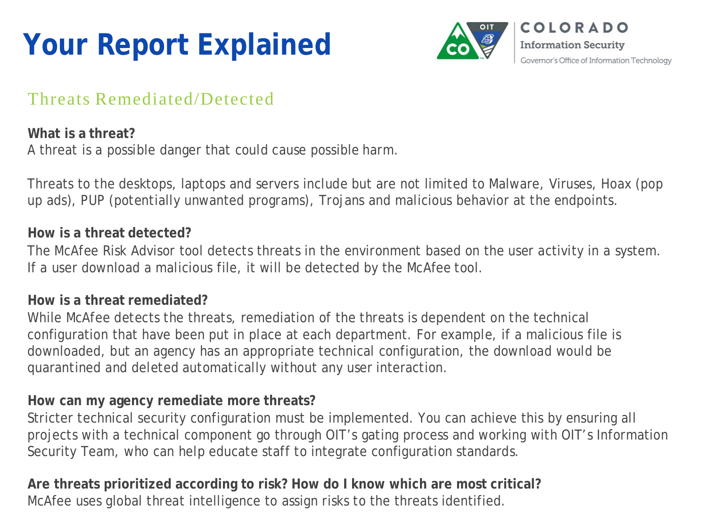## **Your Report Explained**



### Threats Remediated/Detected

### **What is a threat?** A threat is a possible danger that could cause possible harm.

Threats to the desktops, laptops and servers include but are not limited to Malware, Viruses, Hoax (pop up ads), PUP (potentially unwanted programs), Trojans and malicious behavior at the endpoints.

#### **How is a threat detected?**

The McAfee Risk Advisor tool detects threats in the environment based on the user activity in a system. If a user download a malicious file, it will be detected by the McAfee tool.

#### **How is a threat remediated?**

While McAfee detects the threats, remediation of the threats is dependent on the technical configuration that have been put in place at each department. For example, if a malicious file is downloaded, but an agency has an appropriate technical configuration, the download would be quarantined and deleted automatically without any user interaction.

#### **How can my agency remediate more threats?**

Stricter technical security configuration must be implemented. You can achieve this by ensuring all projects with a technical component go through OIT's gating process and working with OIT's Information Security Team, who can help educate staff to integrate configuration standards.

**Are threats prioritized according to risk? How do I know which are most critical?** McAfee uses global threat intelligence to assign risks to the threats identified.